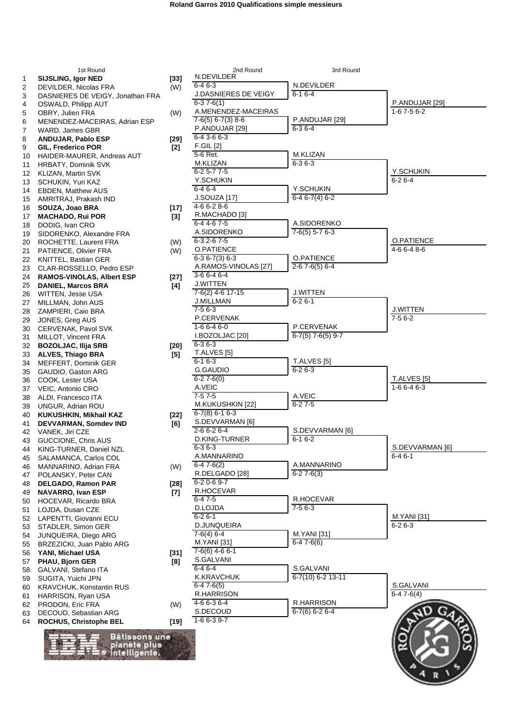|          | 1st Round                                                 |                 | 2nd Round                                   | 3rd Round                         |                          |
|----------|-----------------------------------------------------------|-----------------|---------------------------------------------|-----------------------------------|--------------------------|
| 1        | <b>SIJSLING, Igor NED</b>                                 | $[33]$          | N.DEVILDER                                  |                                   |                          |
| 2        | DEVILDER, Nicolas FRA<br>DASNIERES DE VEIGY, Jonathan FRA | (W)             | $6 - 46 - 3$<br><b>J.DASNIERES DE VEIGY</b> | N.DEVILDER<br>$6 - 16 - 4$        |                          |
| 3<br>4   | OSWALD, Philipp AUT                                       |                 | $6-37-6(1)$                                 |                                   | P.ANDUJAR [29]           |
| 5        | OBRY, Julien FRA                                          | (W)             | A.MENENDEZ-MACEIRAS                         |                                   | $1-67-56-2$              |
| 6        | MENENDEZ-MACEIRAS, Adrian ESP                             |                 | $7-6(5)$ 6-7(3) 8-6                         | P.ANDUJAR [29]                    |                          |
| 7        | WARD, James GBR                                           |                 | P.ANDUJAR [29]<br>6-4 3-6 6-3               | $6 - 36 - 4$                      |                          |
| 8<br>9   | <b>ANDUJAR, Pablo ESP</b><br>GIL, Frederico POR           | [29]            | <b>F.GIL [2]</b>                            |                                   |                          |
| 10       | HAIDER-MAURER, Andreas AUT                                | $[2]$           | 5-6 Ret.                                    | M.KLIZAN                          |                          |
| 11       | <b>HRBATY, Dominik SVK</b>                                |                 | <b>M.KLIZAN</b>                             | $6 - 36 - 3$                      |                          |
| 12       | KLIZAN, Martin SVK                                        |                 | $6 - 25 - 77 - 5$                           |                                   | Y.SCHUKIN                |
| 13       | SCHUKIN, Yuri KAZ                                         |                 | Y.SCHUKIN<br>$6 - 46 - 4$                   | Y.SCHUKIN                         | $6 - 26 - 4$             |
| 14<br>15 | <b>EBDEN, Matthew AUS</b><br>AMRITRAJ, Prakash IND        |                 | <b>J.SOUZA</b> [17]                         | $6-46-7(4)6-2$                    |                          |
| 16       | SOUZA, Joao BRA                                           | $[17]$          | 4-6 6-2 8-6                                 |                                   |                          |
| 17       | <b>MACHADO, Rui POR</b>                                   | $[3]$           | R.MACHADO [3]                               |                                   |                          |
| 18       | DODIG, Ivan CRO                                           |                 | 6-4 4-6 7-5                                 | A.SIDORENKO                       |                          |
| 19       | SIDORENKO, Alexandre FRA                                  |                 | A.SIDORENKO<br>6-3 2-6 7-5                  | $7-6(5)$ 5-7 6-3                  | O.PATIENCE               |
| 20       | ROCHETTE, Laurent FRA                                     | (W)             | O.PATIENCE                                  |                                   | 4-6 6-4 8-6              |
| 21<br>22 | PATIENCE, Olivier FRA<br>KNITTEL, Bastian GER             | (W)             | $6-36-7(3)6-3$                              | O.PATIENCE                        |                          |
| 23       | CLAR-ROSSELLO, Pedro ESP                                  |                 | A.RAMOS-VINOLAS [27]                        | $2-67-6(5)6-4$                    |                          |
| 24       | <b>RAMOS-VINOLAS, Albert ESP</b>                          | [27]            | $3-66-46-4$                                 |                                   |                          |
| 25       | <b>DANIEL, Marcos BRA</b>                                 | [4]             | <b>J.WITTEN</b><br>$7-6(2)$ 4-6 17-15       | <b>J.WITTEN</b>                   |                          |
| 26<br>27 | WITTEN, Jesse USA<br>MILLMAN, John AUS                    |                 | <b>J.MILLMAN</b>                            | $6 - 26 - 1$                      |                          |
| 28       | ZAMPIERI, Caio BRA                                        |                 | $7-56-3$                                    |                                   | <b>J.WITTEN</b>          |
| 29       | JONES, Greg AUS                                           |                 | P.CERVENAK                                  |                                   | $7-56-2$                 |
| 30       | CERVENAK, Pavol SVK                                       |                 | $1-66-46-0$                                 | P.CERVENAK                        |                          |
| 31       | MILLOT, Vincent FRA                                       |                 | I.BOZOLJAC [20]<br>$6 - 36 - 3$             | $6-7(5)$ 7-6(5) 9-7               |                          |
| 32<br>33 | <b>BOZOLJAC, Ilija SRB</b><br><b>ALVES, Thiago BRA</b>    | $[20]$<br>$[5]$ | T.ALVES [5]                                 |                                   |                          |
| 34       | MEFFERT, Dominik GER                                      |                 | $6 - 16 - 3$                                | T.ALVES [5]                       |                          |
| 35       | GAUDIO, Gaston ARG                                        |                 | G.GAUDIO                                    | $6 - 26 - 3$                      |                          |
| 36       | COOK, Lester USA                                          |                 | $6 - 27 - 6(0)$                             |                                   | T.ALVES [5]              |
| 37       | VEIC, Antonio CRO                                         |                 | A.VEIC<br>$7-57-5$                          | A.VEIC                            | $1-66-46-3$              |
| 38<br>39 | ALDI, Francesco ITA<br>UNGUR, Adrian ROU                  |                 | M.KUKUSHKIN [22]                            | $6 - 27 - 5$                      |                          |
| 40       | <b>KUKUSHKIN, Mikhail KAZ</b>                             | $[22]$          | $6 - 7(8) 6 - 1 6 - 3$                      |                                   |                          |
| 41       | DEVVARMAN, Somdev IND                                     | [6]             | S.DEVVARMAN [6]                             |                                   |                          |
| 42       | VANEK, Jiri CZE                                           |                 | 2-6 6-2 6-4                                 | S.DEVVARMAN [6]                   |                          |
| 43       | GUCCIONE, Chris AUS                                       |                 | D.KING-TURNER<br>$6 - 36 - 3$               | $6 - 16 - 2$                      | S.DEVVARMAN [6]          |
| 45       | 44 KING-TURNER, Daniel NZL<br>SALAMANCA, Carlos COL       |                 | A.MANNARINO                                 |                                   | $6 - 46 - 1$             |
| 46       | MANNARINO, Adrian FRA                                     | (W)             | $6-47-6(2)$                                 | A.MANNARINO                       |                          |
| 47       | POLANSKY, Peter CAN                                       |                 | R.DELGADO [28]                              | $6 - 27 - 6(3)$                   |                          |
| 48       | DELGADO, Ramon PAR                                        | [28]            | $6 - 20 - 69 - 7$                           |                                   |                          |
| 49       | <b>NAVARRO, Ivan ESP</b>                                  | [7]             | R.HOCEVAR<br>$6 - 47 - 5$                   | R.HOCEVAR                         |                          |
| 50<br>51 | HOCEVAR, Ricardo BRA<br>LOJDA, Dusan CZE                  |                 | D.LOJDA                                     | $7-56-3$                          |                          |
| 52       | LAPENTTI, Giovanni ECU                                    |                 | $6 - 26 - 1$                                |                                   | <b>M.YANI</b> [31]       |
| 53       | STADLER, Simon GER                                        |                 | D.JUNQUEIRA                                 |                                   | $6 - 26 - 3$             |
| 54       | <b>JUNQUEIRA, Diego ARG</b>                               |                 | $7-6(4)$ 6-4<br><b>M.YANI</b> [31]          | <b>M.YANI</b> [31]<br>$6-47-6(6)$ |                          |
| 55       | BRZEZICKI, Juan Pablo ARG<br>YANI, Michael USA            |                 | $7-6(6)$ 4-6 6-1                            |                                   |                          |
| 56<br>57 | PHAU, Bjorn GER                                           | $[31]$<br>[8]   | S.GALVANI                                   |                                   |                          |
| 58       | GALVANI, Stefano ITA                                      |                 | $6-46-4$                                    | S.GALVANI                         |                          |
| 59       | SUGITA, Yuichi JPN                                        |                 | <b>K.KRAVCHUK</b>                           | $6 - 7(10) 6 - 2 13 - 11$         |                          |
| 60       | <b>KRAVCHUK, Konstantin RUS</b>                           |                 | $6-47-6(5)$<br>R.HARRISON                   |                                   | S.GALVANI<br>$6-47-6(4)$ |
| 61<br>62 | HARRISON, Ryan USA<br>PRODON, Eric FRA                    | (W)             | 4-6 6-3 6-4                                 | R.HARRISON                        |                          |
| 63       | DECOUD, Sebastian ARG                                     |                 | S.DECOUD                                    | $6-7(6)$ 6-2 6-4                  |                          |
| 64       | ROCHUS, Christophe BEL                                    | [19]            | $1-66-39-7$                                 |                                   |                          |
|          |                                                           |                 |                                             |                                   |                          |
|          | Bâtissons une<br>planète plus                             |                 |                                             |                                   |                          |
|          | * intelligente.                                           |                 |                                             |                                   |                          |
|          |                                                           |                 |                                             |                                   |                          |
|          |                                                           |                 |                                             |                                   |                          |
|          |                                                           |                 |                                             |                                   |                          |